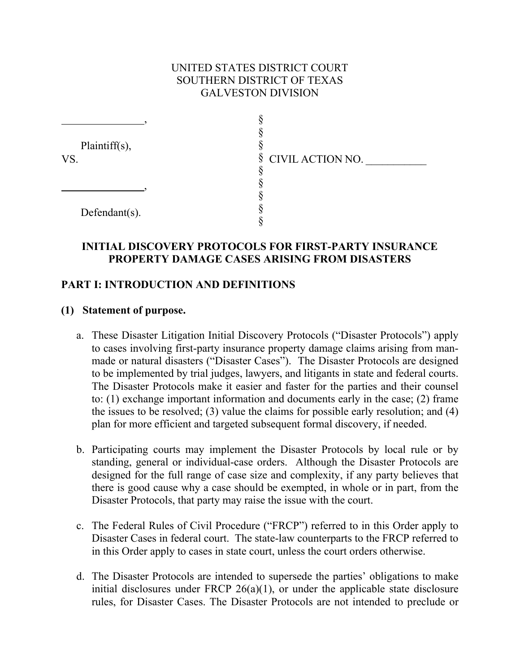### UNITED STATES DISTRICT COURT SOUTHERN DISTRICT OF TEXAS GALVESTON DIVISION

| $Plaintiff(s)$ ,<br>VS. |                    |
|-------------------------|--------------------|
|                         | § CIVIL ACTION NO. |
|                         |                    |
|                         |                    |
| Defendant $(s)$ .       |                    |
|                         |                    |
|                         |                    |

### **INITIAL DISCOVERY PROTOCOLS FOR FIRST-PARTY INSURANCE PROPERTY DAMAGE CASES ARISING FROM DISASTERS**

### **PART I: INTRODUCTION AND DEFINITIONS**

#### **(1) Statement of purpose.**

- a. These Disaster Litigation Initial Discovery Protocols ("Disaster Protocols") apply to cases involving first-party insurance property damage claims arising from manmade or natural disasters ("Disaster Cases"). The Disaster Protocols are designed to be implemented by trial judges, lawyers, and litigants in state and federal courts. The Disaster Protocols make it easier and faster for the parties and their counsel to: (1) exchange important information and documents early in the case; (2) frame the issues to be resolved; (3) value the claims for possible early resolution; and (4) plan for more efficient and targeted subsequent formal discovery, if needed.
- b. Participating courts may implement the Disaster Protocols by local rule or by standing, general or individual-case orders. Although the Disaster Protocols are designed for the full range of case size and complexity, if any party believes that there is good cause why a case should be exempted, in whole or in part, from the Disaster Protocols, that party may raise the issue with the court.
- c. The Federal Rules of Civil Procedure ("FRCP") referred to in this Order apply to Disaster Cases in federal court. The state-law counterparts to the FRCP referred to in this Order apply to cases in state court, unless the court orders otherwise.
- d. The Disaster Protocols are intended to supersede the parties' obligations to make initial disclosures under FRCP  $26(a)(1)$ , or under the applicable state disclosure rules, for Disaster Cases. The Disaster Protocols are not intended to preclude or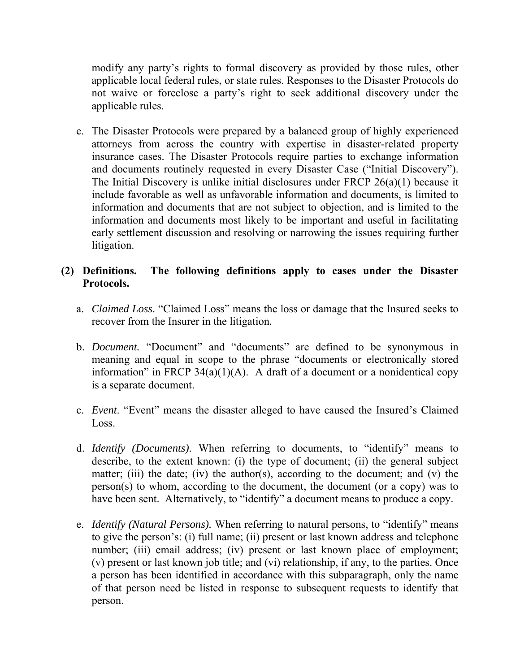modify any party's rights to formal discovery as provided by those rules, other applicable local federal rules, or state rules. Responses to the Disaster Protocols do not waive or foreclose a party's right to seek additional discovery under the applicable rules.

e. The Disaster Protocols were prepared by a balanced group of highly experienced attorneys from across the country with expertise in disaster-related property insurance cases. The Disaster Protocols require parties to exchange information and documents routinely requested in every Disaster Case ("Initial Discovery"). The Initial Discovery is unlike initial disclosures under FRCP 26(a)(1) because it include favorable as well as unfavorable information and documents, is limited to information and documents that are not subject to objection, and is limited to the information and documents most likely to be important and useful in facilitating early settlement discussion and resolving or narrowing the issues requiring further litigation.

## **(2) Definitions. The following definitions apply to cases under the Disaster Protocols.**

- a. *Claimed Loss*. "Claimed Loss" means the loss or damage that the Insured seeks to recover from the Insurer in the litigation*.*
- b. *Document.* "Document" and "documents" are defined to be synonymous in meaning and equal in scope to the phrase "documents or electronically stored information" in FRCP 34(a)(1)(A). A draft of a document or a nonidentical copy is a separate document.
- c. *Event*. "Event" means the disaster alleged to have caused the Insured's Claimed Loss.
- d. *Identify (Documents)*. When referring to documents, to "identify" means to describe, to the extent known: (i) the type of document; (ii) the general subject matter; (iii) the date; (iv) the author(s), according to the document; and (v) the person(s) to whom, according to the document, the document (or a copy) was to have been sent. Alternatively, to "identify" a document means to produce a copy.
- e. *Identify (Natural Persons).* When referring to natural persons, to "identify" means to give the person's: (i) full name; (ii) present or last known address and telephone number; (iii) email address; (iv) present or last known place of employment; (v) present or last known job title; and (vi) relationship, if any, to the parties. Once a person has been identified in accordance with this subparagraph, only the name of that person need be listed in response to subsequent requests to identify that person.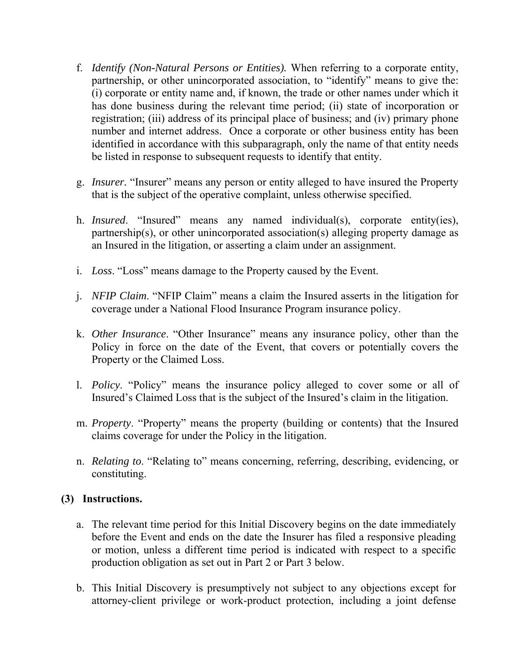- f. *Identify (Non-Natural Persons or Entities).* When referring to a corporate entity, partnership, or other unincorporated association, to "identify" means to give the: (i) corporate or entity name and, if known, the trade or other names under which it has done business during the relevant time period; (ii) state of incorporation or registration; (iii) address of its principal place of business; and (iv) primary phone number and internet address. Once a corporate or other business entity has been identified in accordance with this subparagraph, only the name of that entity needs be listed in response to subsequent requests to identify that entity.
- g. *Insurer.* "Insurer" means any person or entity alleged to have insured the Property that is the subject of the operative complaint, unless otherwise specified.
- h. *Insured*. "Insured" means any named individual(s), corporate entity(ies), partnership(s), or other unincorporated association(s) alleging property damage as an Insured in the litigation, or asserting a claim under an assignment.
- i. *Loss*. "Loss" means damage to the Property caused by the Event.
- j. *NFIP Claim*. "NFIP Claim" means a claim the Insured asserts in the litigation for coverage under a National Flood Insurance Program insurance policy.
- k. *Other Insurance*. "Other Insurance" means any insurance policy, other than the Policy in force on the date of the Event, that covers or potentially covers the Property or the Claimed Loss.
- l. *Policy*. "Policy" means the insurance policy alleged to cover some or all of Insured's Claimed Loss that is the subject of the Insured's claim in the litigation.
- m. *Property*. "Property" means the property (building or contents) that the Insured claims coverage for under the Policy in the litigation.
- n. *Relating to*. "Relating to" means concerning, referring, describing, evidencing, or constituting.

# **(3) Instructions.**

- a. The relevant time period for this Initial Discovery begins on the date immediately before the Event and ends on the date the Insurer has filed a responsive pleading or motion, unless a different time period is indicated with respect to a specific production obligation as set out in Part 2 or Part 3 below.
- b. This Initial Discovery is presumptively not subject to any objections except for attorney-client privilege or work-product protection, including a joint defense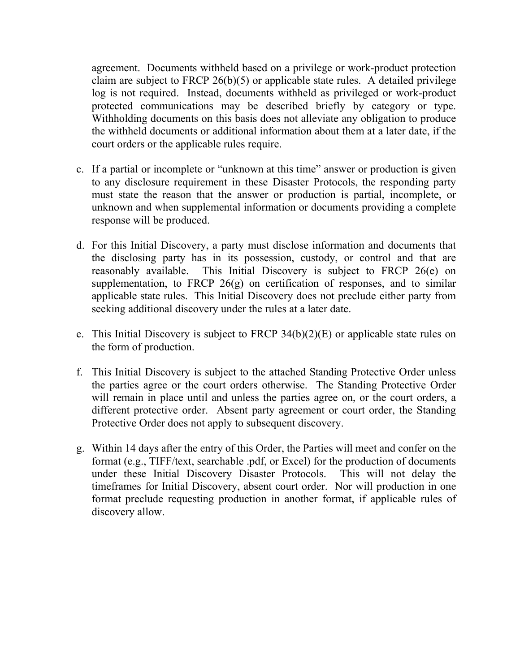agreement. Documents withheld based on a privilege or work-product protection claim are subject to FRCP  $26(b)(5)$  or applicable state rules. A detailed privilege log is not required. Instead, documents withheld as privileged or work-product protected communications may be described briefly by category or type. Withholding documents on this basis does not alleviate any obligation to produce the withheld documents or additional information about them at a later date, if the court orders or the applicable rules require.

- c. If a partial or incomplete or "unknown at this time" answer or production is given to any disclosure requirement in these Disaster Protocols, the responding party must state the reason that the answer or production is partial, incomplete, or unknown and when supplemental information or documents providing a complete response will be produced.
- d. For this Initial Discovery, a party must disclose information and documents that the disclosing party has in its possession, custody, or control and that are reasonably available. This Initial Discovery is subject to FRCP 26(e) on supplementation, to FRCP 26(g) on certification of responses, and to similar applicable state rules. This Initial Discovery does not preclude either party from seeking additional discovery under the rules at a later date.
- e. This Initial Discovery is subject to FRCP 34(b)(2)(E) or applicable state rules on the form of production.
- f. This Initial Discovery is subject to the attached Standing Protective Order unless the parties agree or the court orders otherwise. The Standing Protective Order will remain in place until and unless the parties agree on, or the court orders, a different protective order. Absent party agreement or court order, the Standing Protective Order does not apply to subsequent discovery.
- g. Within 14 days after the entry of this Order, the Parties will meet and confer on the format (e.g., TIFF/text, searchable .pdf, or Excel) for the production of documents under these Initial Discovery Disaster Protocols. This will not delay the timeframes for Initial Discovery, absent court order. Nor will production in one format preclude requesting production in another format, if applicable rules of discovery allow.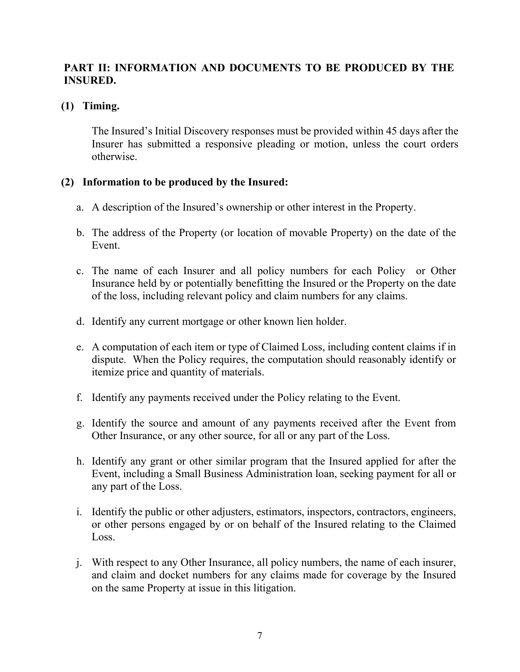# **PART II: INFORMATION AND DOCUMENTS TO BE PRODUCED BY THE INSURED.**

### **(1) Timing.**

The Insured's Initial Discovery responses must be provided within 45 days after the Insurer has submitted a responsive pleading or motion, unless the court orders otherwise.

## **(2) Information to be produced by the Insured:**

- a. A description of the Insured's ownership or other interest in the Property.
- b. The address of the Property (or location of movable Property) on the date of the Event.
- c. The name of each Insurer and all policy numbers for each Policy or Other Insurance held by or potentially benefitting the Insured or the Property on the date of the loss, including relevant policy and claim numbers for any claims.
- d. Identify any current mortgage or other known lien holder.
- e. A computation of each item or type of Claimed Loss, including content claims if in dispute. When the Policy requires, the computation should reasonably identify or itemize price and quantity of materials.
- f. Identify any payments received under the Policy relating to the Event.
- g. Identify the source and amount of any payments received after the Event from Other Insurance, or any other source, for all or any part of the Loss.
- h. Identify any grant or other similar program that the Insured applied for after the Event, including a Small Business Administration loan, seeking payment for all or any part of the Loss.
- i. Identify the public or other adjusters, estimators, inspectors, contractors, engineers, or other persons engaged by or on behalf of the Insured relating to the Claimed Loss.
- j. With respect to any Other Insurance, all policy numbers, the name of each insurer, and claim and docket numbers for any claims made for coverage by the Insured on the same Property at issue in this litigation.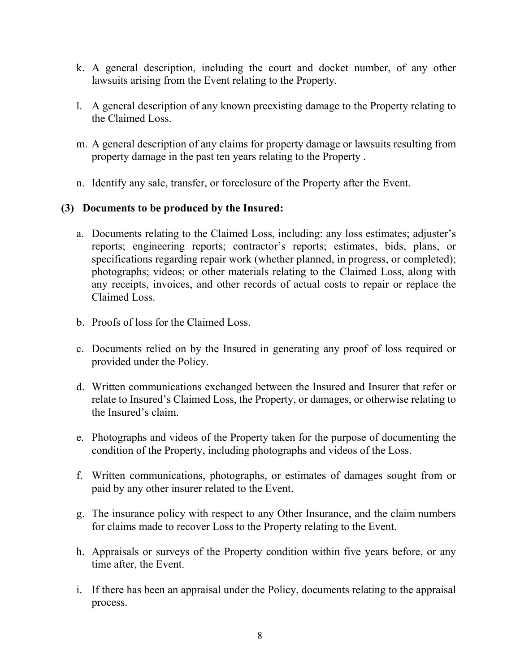- k. A general description, including the court and docket number, of any other lawsuits arising from the Event relating to the Property.
- l. A general description of any known preexisting damage to the Property relating to the Claimed Loss.
- m. A general description of any claims for property damage or lawsuits resulting from property damage in the past ten years relating to the Property .
- n. Identify any sale, transfer, or foreclosure of the Property after the Event.

### **(3) Documents to be produced by the Insured:**

- a. Documents relating to the Claimed Loss, including: any loss estimates; adjuster's reports; engineering reports; contractor's reports; estimates, bids, plans, or specifications regarding repair work (whether planned, in progress, or completed); photographs; videos; or other materials relating to the Claimed Loss, along with any receipts, invoices, and other records of actual costs to repair or replace the Claimed Loss.
- b. Proofs of loss for the Claimed Loss.
- c. Documents relied on by the Insured in generating any proof of loss required or provided under the Policy.
- d. Written communications exchanged between the Insured and Insurer that refer or relate to Insured's Claimed Loss, the Property, or damages, or otherwise relating to the Insured's claim.
- e. Photographs and videos of the Property taken for the purpose of documenting the condition of the Property, including photographs and videos of the Loss.
- f. Written communications, photographs, or estimates of damages sought from or paid by any other insurer related to the Event.
- g. The insurance policy with respect to any Other Insurance, and the claim numbers for claims made to recover Loss to the Property relating to the Event.
- h. Appraisals or surveys of the Property condition within five years before, or any time after, the Event.
- i. If there has been an appraisal under the Policy, documents relating to the appraisal process.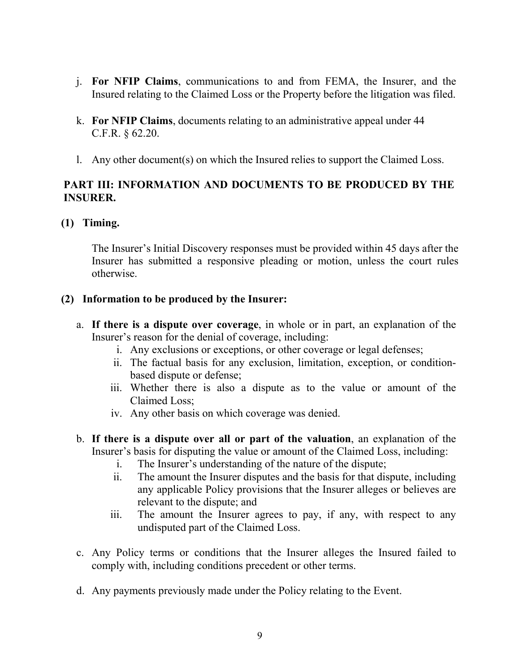- j. **For NFIP Claims**, communications to and from FEMA, the Insurer, and the Insured relating to the Claimed Loss or the Property before the litigation was filed.
- k. **For NFIP Claims**, documents relating to an administrative appeal under 44 C.F.R. § 62.20.
- l. Any other document(s) on which the Insured relies to support the Claimed Loss.

### **PART III: INFORMATION AND DOCUMENTS TO BE PRODUCED BY THE INSURER.**

### **(1) Timing.**

The Insurer's Initial Discovery responses must be provided within 45 days after the Insurer has submitted a responsive pleading or motion, unless the court rules otherwise.

#### **(2) Information to be produced by the Insurer:**

- a. **If there is a dispute over coverage**, in whole or in part, an explanation of the Insurer's reason for the denial of coverage, including:
	- i. Any exclusions or exceptions, or other coverage or legal defenses;
	- ii. The factual basis for any exclusion, limitation, exception, or conditionbased dispute or defense;
	- iii. Whether there is also a dispute as to the value or amount of the Claimed Loss;
	- iv. Any other basis on which coverage was denied.
- b. **If there is a dispute over all or part of the valuation**, an explanation of the Insurer's basis for disputing the value or amount of the Claimed Loss, including:
	- i. The Insurer's understanding of the nature of the dispute;
	- ii. The amount the Insurer disputes and the basis for that dispute, including any applicable Policy provisions that the Insurer alleges or believes are relevant to the dispute; and
	- iii. The amount the Insurer agrees to pay, if any, with respect to any undisputed part of the Claimed Loss.
- c. Any Policy terms or conditions that the Insurer alleges the Insured failed to comply with, including conditions precedent or other terms.
- d. Any payments previously made under the Policy relating to the Event.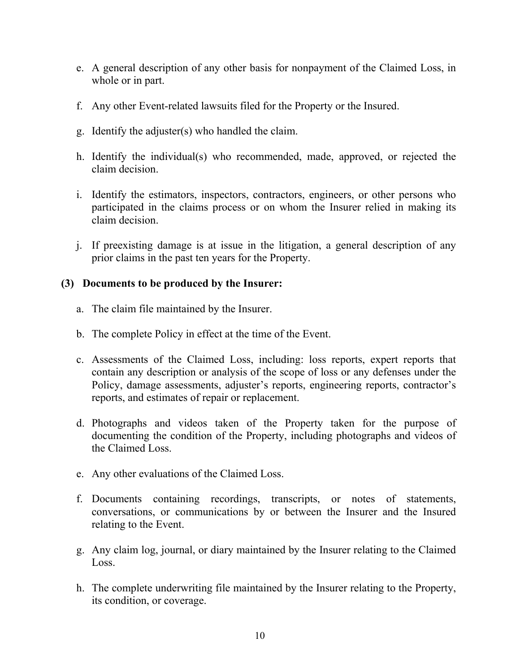- e. A general description of any other basis for nonpayment of the Claimed Loss, in whole or in part.
- f. Any other Event-related lawsuits filed for the Property or the Insured.
- g. Identify the adjuster(s) who handled the claim.
- h. Identify the individual(s) who recommended, made, approved, or rejected the claim decision.
- i. Identify the estimators, inspectors, contractors, engineers, or other persons who participated in the claims process or on whom the Insurer relied in making its claim decision.
- j. If preexisting damage is at issue in the litigation, a general description of any prior claims in the past ten years for the Property.

### **(3) Documents to be produced by the Insurer:**

- a. The claim file maintained by the Insurer.
- b. The complete Policy in effect at the time of the Event.
- c. Assessments of the Claimed Loss, including: loss reports, expert reports that contain any description or analysis of the scope of loss or any defenses under the Policy, damage assessments, adjuster's reports, engineering reports, contractor's reports, and estimates of repair or replacement.
- d. Photographs and videos taken of the Property taken for the purpose of documenting the condition of the Property, including photographs and videos of the Claimed Loss.
- e. Any other evaluations of the Claimed Loss.
- f. Documents containing recordings, transcripts, or notes of statements, conversations, or communications by or between the Insurer and the Insured relating to the Event.
- g. Any claim log, journal, or diary maintained by the Insurer relating to the Claimed Loss.
- h. The complete underwriting file maintained by the Insurer relating to the Property, its condition, or coverage.